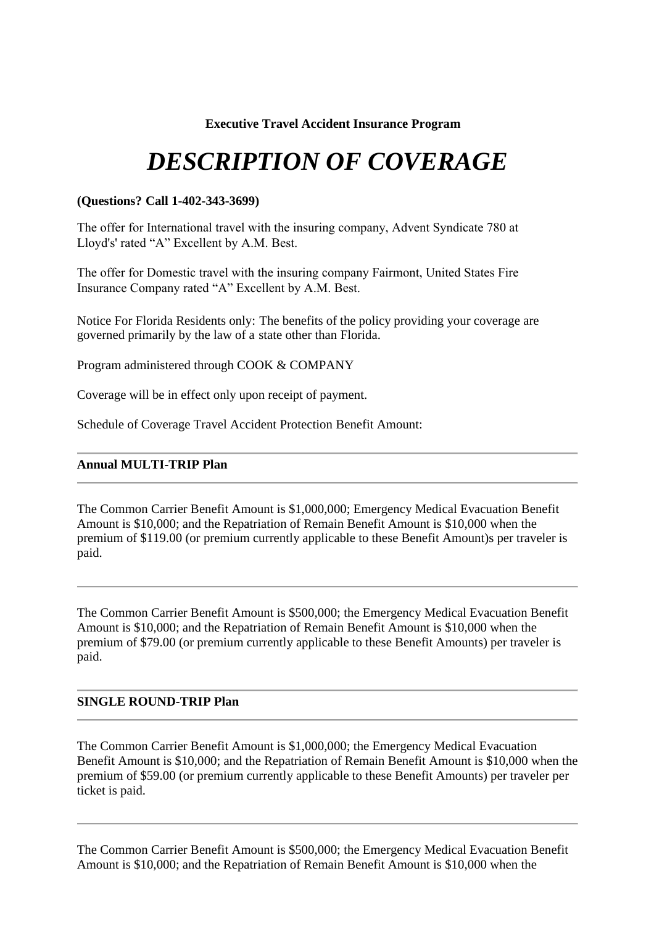# **Executive Travel Accident Insurance Program**

# *DESCRIPTION OF COVERAGE*

# **(Questions? Call 1-402-343-3699)**

The offer for International travel with the insuring company, Advent Syndicate 780 at Lloyd's' rated "A" Excellent by A.M. Best.

The offer for Domestic travel with the insuring company Fairmont, United States Fire Insurance Company rated "A" Excellent by A.M. Best.

Notice For Florida Residents only: The benefits of the policy providing your coverage are governed primarily by the law of a state other than Florida.

Program administered through COOK & COMPANY

Coverage will be in effect only upon receipt of payment.

Schedule of Coverage Travel Accident Protection Benefit Amount:

# **Annual MULTI-TRIP Plan**

The Common Carrier Benefit Amount is \$1,000,000; Emergency Medical Evacuation Benefit Amount is \$10,000; and the Repatriation of Remain Benefit Amount is \$10,000 when the premium of \$119.00 (or premium currently applicable to these Benefit Amount)s per traveler is paid.

The Common Carrier Benefit Amount is \$500,000; the Emergency Medical Evacuation Benefit Amount is \$10,000; and the Repatriation of Remain Benefit Amount is \$10,000 when the premium of \$79.00 (or premium currently applicable to these Benefit Amounts) per traveler is paid.

# **SINGLE ROUND-TRIP Plan**

The Common Carrier Benefit Amount is \$1,000,000; the Emergency Medical Evacuation Benefit Amount is \$10,000; and the Repatriation of Remain Benefit Amount is \$10,000 when the premium of \$59.00 (or premium currently applicable to these Benefit Amounts) per traveler per ticket is paid.

The Common Carrier Benefit Amount is \$500,000; the Emergency Medical Evacuation Benefit Amount is \$10,000; and the Repatriation of Remain Benefit Amount is \$10,000 when the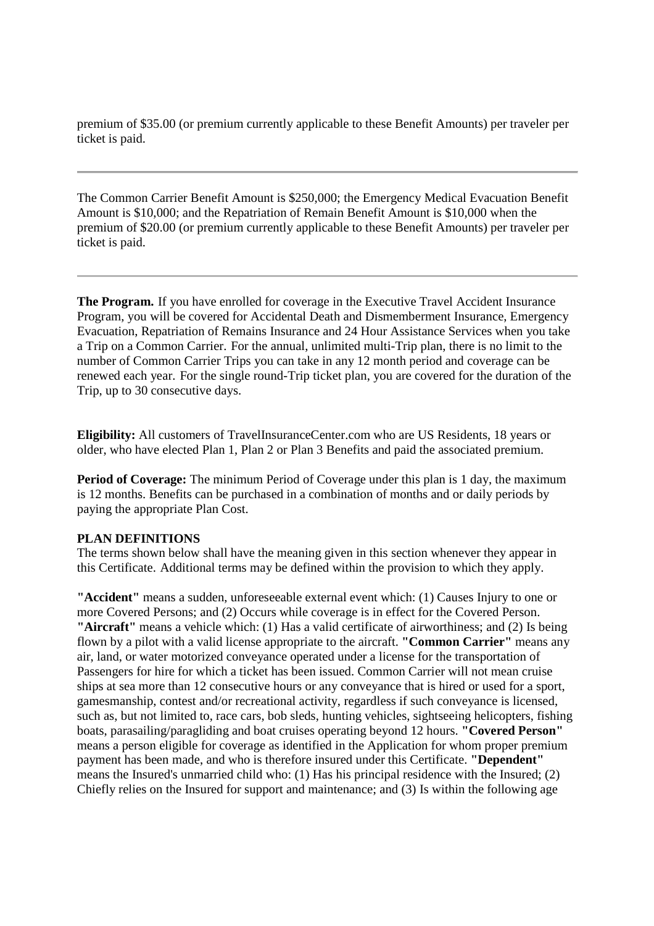premium of \$35.00 (or premium currently applicable to these Benefit Amounts) per traveler per ticket is paid.

The Common Carrier Benefit Amount is \$250,000; the Emergency Medical Evacuation Benefit Amount is \$10,000; and the Repatriation of Remain Benefit Amount is \$10,000 when the premium of \$20.00 (or premium currently applicable to these Benefit Amounts) per traveler per ticket is paid.

**The Program.** If you have enrolled for coverage in the Executive Travel Accident Insurance Program, you will be covered for Accidental Death and Dismemberment Insurance, Emergency Evacuation, Repatriation of Remains Insurance and 24 Hour Assistance Services when you take a Trip on a Common Carrier. For the annual, unlimited multi-Trip plan, there is no limit to the number of Common Carrier Trips you can take in any 12 month period and coverage can be renewed each year. For the single round-Trip ticket plan, you are covered for the duration of the Trip, up to 30 consecutive days.

**Eligibility:** All customers of TravelInsuranceCenter.com who are US Residents, 18 years or older, who have elected Plan 1, Plan 2 or Plan 3 Benefits and paid the associated premium.

**Period of Coverage:** The minimum Period of Coverage under this plan is 1 day, the maximum is 12 months. Benefits can be purchased in a combination of months and or daily periods by paying the appropriate Plan Cost.

# **PLAN DEFINITIONS**

The terms shown below shall have the meaning given in this section whenever they appear in this Certificate. Additional terms may be defined within the provision to which they apply.

**"Accident"** means a sudden, unforeseeable external event which: (1) Causes Injury to one or more Covered Persons; and (2) Occurs while coverage is in effect for the Covered Person. **"Aircraft"** means a vehicle which: (1) Has a valid certificate of airworthiness; and (2) Is being flown by a pilot with a valid license appropriate to the aircraft. **"Common Carrier"** means any air, land, or water motorized conveyance operated under a license for the transportation of Passengers for hire for which a ticket has been issued. Common Carrier will not mean cruise ships at sea more than 12 consecutive hours or any conveyance that is hired or used for a sport, gamesmanship, contest and/or recreational activity, regardless if such conveyance is licensed, such as, but not limited to, race cars, bob sleds, hunting vehicles, sightseeing helicopters, fishing boats, parasailing/paragliding and boat cruises operating beyond 12 hours. **"Covered Person"** means a person eligible for coverage as identified in the Application for whom proper premium payment has been made, and who is therefore insured under this Certificate. **"Dependent"** means the Insured's unmarried child who: (1) Has his principal residence with the Insured; (2) Chiefly relies on the Insured for support and maintenance; and (3) Is within the following age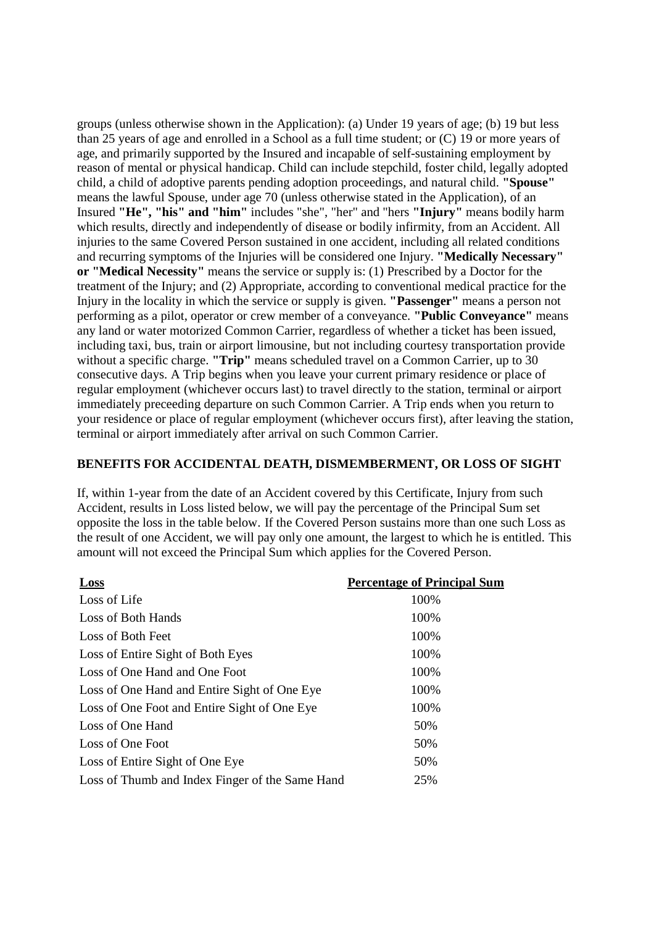groups (unless otherwise shown in the Application): (a) Under 19 years of age; (b) 19 but less than 25 years of age and enrolled in a School as a full time student; or (C) 19 or more years of age, and primarily supported by the Insured and incapable of self-sustaining employment by reason of mental or physical handicap. Child can include stepchild, foster child, legally adopted child, a child of adoptive parents pending adoption proceedings, and natural child. **"Spouse"** means the lawful Spouse, under age 70 (unless otherwise stated in the Application), of an Insured **"He", "his" and "him"** includes "she", "her" and "hers **"Injury"** means bodily harm which results, directly and independently of disease or bodily infirmity, from an Accident. All injuries to the same Covered Person sustained in one accident, including all related conditions and recurring symptoms of the Injuries will be considered one Injury. **"Medically Necessary" or "Medical Necessity"** means the service or supply is: (1) Prescribed by a Doctor for the treatment of the Injury; and (2) Appropriate, according to conventional medical practice for the Injury in the locality in which the service or supply is given. **"Passenger"** means a person not performing as a pilot, operator or crew member of a conveyance. **"Public Conveyance"** means any land or water motorized Common Carrier, regardless of whether a ticket has been issued, including taxi, bus, train or airport limousine, but not including courtesy transportation provide without a specific charge. **"Trip"** means scheduled travel on a Common Carrier, up to 30 consecutive days. A Trip begins when you leave your current primary residence or place of regular employment (whichever occurs last) to travel directly to the station, terminal or airport immediately preceeding departure on such Common Carrier. A Trip ends when you return to your residence or place of regular employment (whichever occurs first), after leaving the station, terminal or airport immediately after arrival on such Common Carrier.

#### **BENEFITS FOR ACCIDENTAL DEATH, DISMEMBERMENT, OR LOSS OF SIGHT**

If, within 1-year from the date of an Accident covered by this Certificate, Injury from such Accident, results in Loss listed below, we will pay the percentage of the Principal Sum set opposite the loss in the table below. If the Covered Person sustains more than one such Loss as the result of one Accident, we will pay only one amount, the largest to which he is entitled. This amount will not exceed the Principal Sum which applies for the Covered Person.

| Loss                                            | <b>Percentage of Principal Sum</b> |
|-------------------------------------------------|------------------------------------|
| Loss of Life                                    | 100%                               |
| Loss of Both Hands                              | 100%                               |
| Loss of Both Feet                               | 100%                               |
| Loss of Entire Sight of Both Eyes               | 100%                               |
| Loss of One Hand and One Foot                   | 100%                               |
| Loss of One Hand and Entire Sight of One Eye    | 100%                               |
| Loss of One Foot and Entire Sight of One Eye    | 100%                               |
| Loss of One Hand                                | 50%                                |
| Loss of One Foot                                | 50%                                |
| Loss of Entire Sight of One Eye                 | 50%                                |
| Loss of Thumb and Index Finger of the Same Hand | 25%                                |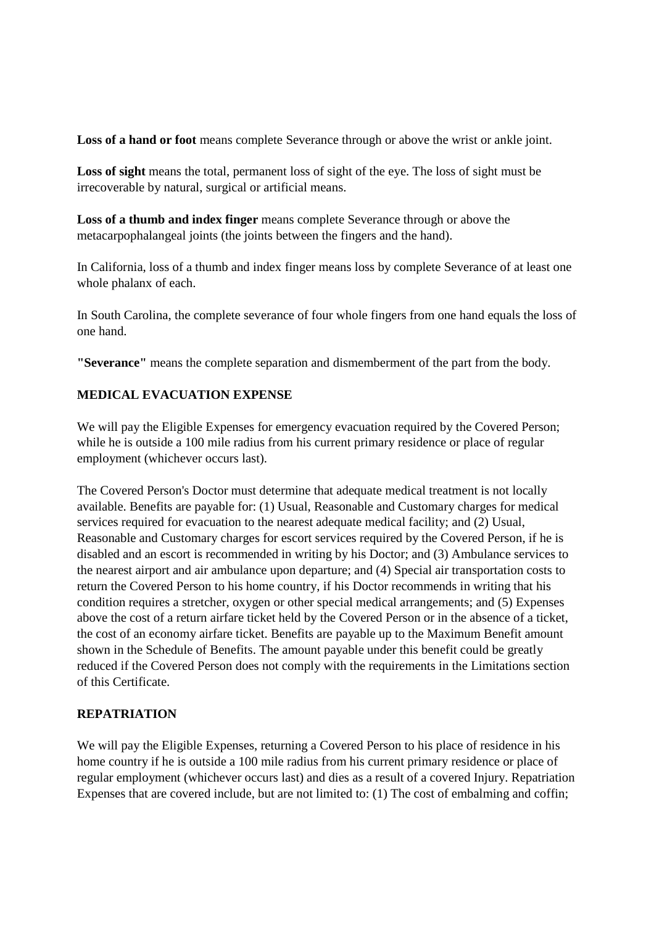Loss of a hand or foot means complete Severance through or above the wrist or ankle joint.

**Loss of sight** means the total, permanent loss of sight of the eye. The loss of sight must be irrecoverable by natural, surgical or artificial means.

**Loss of a thumb and index finger** means complete Severance through or above the metacarpophalangeal joints (the joints between the fingers and the hand).

In California, loss of a thumb and index finger means loss by complete Severance of at least one whole phalanx of each.

In South Carolina, the complete severance of four whole fingers from one hand equals the loss of one hand.

**"Severance"** means the complete separation and dismemberment of the part from the body.

# **MEDICAL EVACUATION EXPENSE**

We will pay the Eligible Expenses for emergency evacuation required by the Covered Person; while he is outside a 100 mile radius from his current primary residence or place of regular employment (whichever occurs last).

The Covered Person's Doctor must determine that adequate medical treatment is not locally available. Benefits are payable for: (1) Usual, Reasonable and Customary charges for medical services required for evacuation to the nearest adequate medical facility; and (2) Usual, Reasonable and Customary charges for escort services required by the Covered Person, if he is disabled and an escort is recommended in writing by his Doctor; and (3) Ambulance services to the nearest airport and air ambulance upon departure; and (4) Special air transportation costs to return the Covered Person to his home country, if his Doctor recommends in writing that his condition requires a stretcher, oxygen or other special medical arrangements; and (5) Expenses above the cost of a return airfare ticket held by the Covered Person or in the absence of a ticket, the cost of an economy airfare ticket. Benefits are payable up to the Maximum Benefit amount shown in the Schedule of Benefits. The amount payable under this benefit could be greatly reduced if the Covered Person does not comply with the requirements in the Limitations section of this Certificate.

# **REPATRIATION**

We will pay the Eligible Expenses, returning a Covered Person to his place of residence in his home country if he is outside a 100 mile radius from his current primary residence or place of regular employment (whichever occurs last) and dies as a result of a covered Injury. Repatriation Expenses that are covered include, but are not limited to: (1) The cost of embalming and coffin;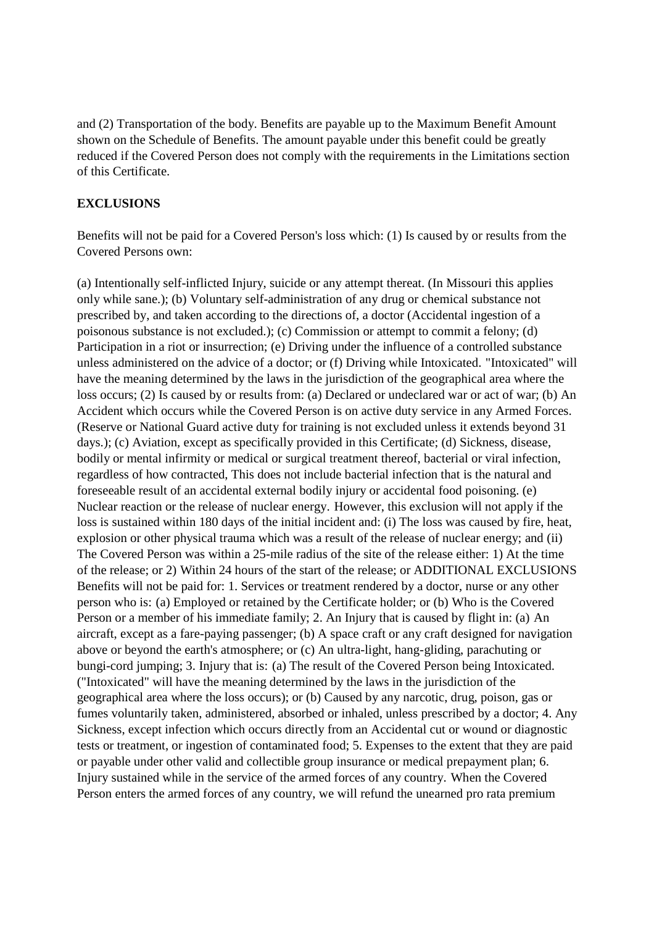and (2) Transportation of the body. Benefits are payable up to the Maximum Benefit Amount shown on the Schedule of Benefits. The amount payable under this benefit could be greatly reduced if the Covered Person does not comply with the requirements in the Limitations section of this Certificate.

### **EXCLUSIONS**

Benefits will not be paid for a Covered Person's loss which: (1) Is caused by or results from the Covered Persons own:

(a) Intentionally self-inflicted Injury, suicide or any attempt thereat. (In Missouri this applies only while sane.); (b) Voluntary self-administration of any drug or chemical substance not prescribed by, and taken according to the directions of, a doctor (Accidental ingestion of a poisonous substance is not excluded.); (c) Commission or attempt to commit a felony; (d) Participation in a riot or insurrection; (e) Driving under the influence of a controlled substance unless administered on the advice of a doctor; or (f) Driving while Intoxicated. "Intoxicated" will have the meaning determined by the laws in the jurisdiction of the geographical area where the loss occurs; (2) Is caused by or results from: (a) Declared or undeclared war or act of war; (b) An Accident which occurs while the Covered Person is on active duty service in any Armed Forces. (Reserve or National Guard active duty for training is not excluded unless it extends beyond 31 days.); (c) Aviation, except as specifically provided in this Certificate; (d) Sickness, disease, bodily or mental infirmity or medical or surgical treatment thereof, bacterial or viral infection, regardless of how contracted, This does not include bacterial infection that is the natural and foreseeable result of an accidental external bodily injury or accidental food poisoning. (e) Nuclear reaction or the release of nuclear energy. However, this exclusion will not apply if the loss is sustained within 180 days of the initial incident and: (i) The loss was caused by fire, heat, explosion or other physical trauma which was a result of the release of nuclear energy; and (ii) The Covered Person was within a 25-mile radius of the site of the release either: 1) At the time of the release; or 2) Within 24 hours of the start of the release; or ADDITIONAL EXCLUSIONS Benefits will not be paid for: 1. Services or treatment rendered by a doctor, nurse or any other person who is: (a) Employed or retained by the Certificate holder; or (b) Who is the Covered Person or a member of his immediate family; 2. An Injury that is caused by flight in: (a) An aircraft, except as a fare-paying passenger; (b) A space craft or any craft designed for navigation above or beyond the earth's atmosphere; or (c) An ultra-light, hang-gliding, parachuting or bungi-cord jumping; 3. Injury that is: (a) The result of the Covered Person being Intoxicated. ("Intoxicated" will have the meaning determined by the laws in the jurisdiction of the geographical area where the loss occurs); or (b) Caused by any narcotic, drug, poison, gas or fumes voluntarily taken, administered, absorbed or inhaled, unless prescribed by a doctor; 4. Any Sickness, except infection which occurs directly from an Accidental cut or wound or diagnostic tests or treatment, or ingestion of contaminated food; 5. Expenses to the extent that they are paid or payable under other valid and collectible group insurance or medical prepayment plan; 6. Injury sustained while in the service of the armed forces of any country. When the Covered Person enters the armed forces of any country, we will refund the unearned pro rata premium